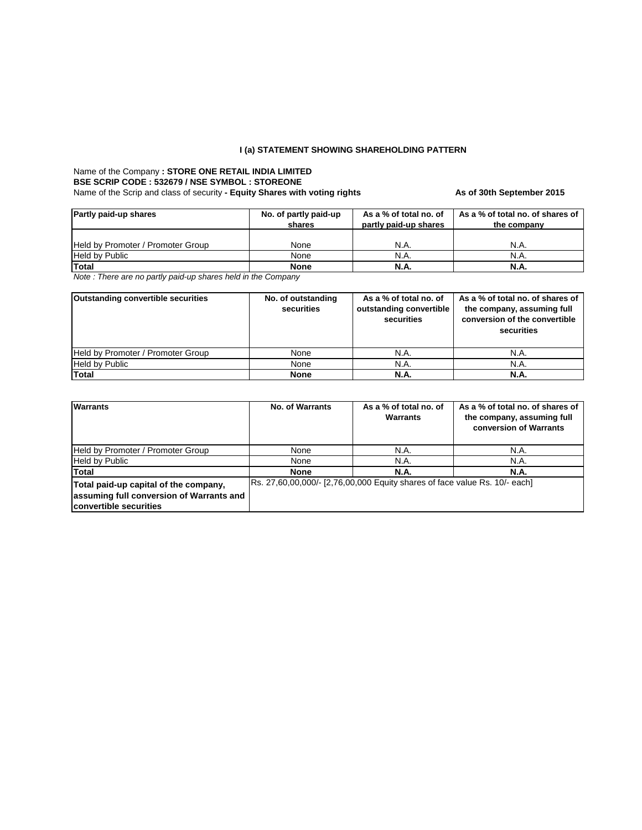# **I (a) STATEMENT SHOWING SHAREHOLDING PATTERN**

### Name of the Company **: STORE ONE RETAIL INDIA LIMITED** Name of the Scrip and class of security - Equity Shares with voting rights **As of 30th September 2015 BSE SCRIP CODE : 532679 / NSE SYMBOL : STOREONE**

| <b>Partly paid-up shares</b>      | No. of partly paid-up<br>shares | As a % of total no. of<br>partly paid-up shares | As a % of total no. of shares of<br>the company |  |
|-----------------------------------|---------------------------------|-------------------------------------------------|-------------------------------------------------|--|
| Held by Promoter / Promoter Group | None                            | N.A.                                            | N.A.                                            |  |
| <b>Held by Public</b>             | None                            | N.A.                                            | N.A.                                            |  |
| <b>Total</b>                      | <b>None</b>                     | N.A.                                            | N.A.                                            |  |

*Note : There are no partly paid-up shares held in the Company*

| <b>Outstanding convertible securities</b> | No. of outstanding<br>securities | As a % of total no. of<br>outstanding convertible<br>securities | As a % of total no. of shares of<br>the company, assuming full<br>conversion of the convertible<br>securities |
|-------------------------------------------|----------------------------------|-----------------------------------------------------------------|---------------------------------------------------------------------------------------------------------------|
| Held by Promoter / Promoter Group         | None                             | N.A.                                                            | N.A.                                                                                                          |
| <b>Held by Public</b>                     | None                             | N.A.                                                            | N.A.                                                                                                          |
| <b>Total</b>                              | <b>None</b>                      | <b>N.A.</b>                                                     | N.A.                                                                                                          |

| <b>Warrants</b>                                                                                             | <b>No. of Warrants</b>                                                      | As a % of total no. of<br><b>Warrants</b> | As a % of total no. of shares of<br>the company, assuming full<br>conversion of Warrants |  |
|-------------------------------------------------------------------------------------------------------------|-----------------------------------------------------------------------------|-------------------------------------------|------------------------------------------------------------------------------------------|--|
| Held by Promoter / Promoter Group                                                                           | N.A.<br>None                                                                |                                           | N.A.                                                                                     |  |
| <b>Held by Public</b>                                                                                       | None                                                                        | N.A.                                      | N.A.                                                                                     |  |
| <b>Total</b>                                                                                                | <b>None</b>                                                                 | <b>N.A.</b>                               | <b>N.A.</b>                                                                              |  |
| Total paid-up capital of the company,<br>assuming full conversion of Warrants and<br>convertible securities | [Rs. 27,60,00,000/- [2,76,00,000 Equity shares of face value Rs. 10/- each] |                                           |                                                                                          |  |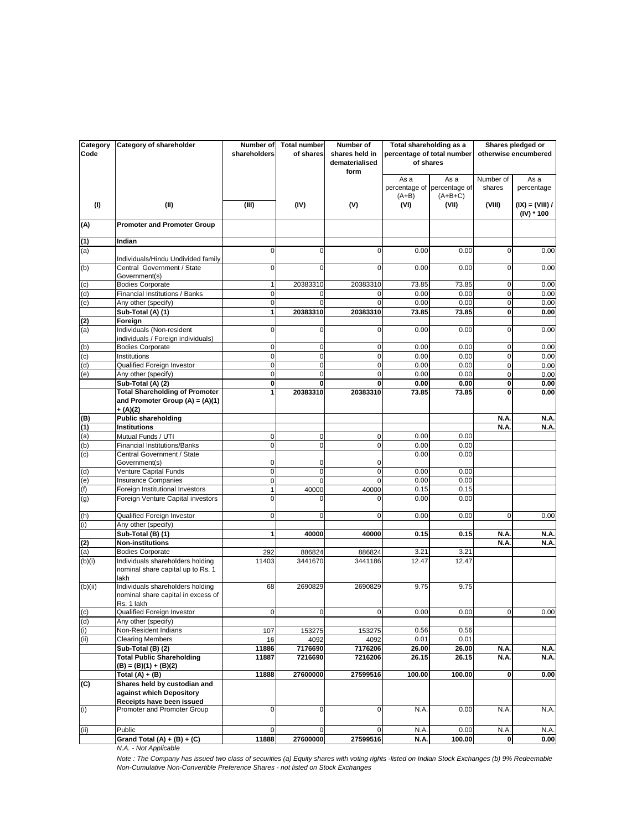| Category<br>Code | <b>Category of shareholder</b>                                                       | Number of<br>shareholders | Total number<br>of shares | <b>Number of</b><br>shares held in<br>dematerialised<br>form | Total shareholding as a<br>percentage of total number<br>of shares |                                                  |                     | Shares pledged or<br>otherwise encumbered |
|------------------|--------------------------------------------------------------------------------------|---------------------------|---------------------------|--------------------------------------------------------------|--------------------------------------------------------------------|--------------------------------------------------|---------------------|-------------------------------------------|
|                  |                                                                                      |                           |                           |                                                              | As a<br>$(A+B)$                                                    | As a<br>percentage of percentage of<br>$(A+B+C)$ | Number of<br>shares | As a<br>percentage                        |
| (1)              | (II)                                                                                 | (III)                     | (IV)                      | (V)                                                          | (VI)                                                               | (VII)                                            | (VIII)              | $(IX) = (VIII) /$<br>$(IV) * 100$         |
| (A)              | <b>Promoter and Promoter Group</b>                                                   |                           |                           |                                                              |                                                                    |                                                  |                     |                                           |
| (1)              | Indian                                                                               |                           |                           |                                                              |                                                                    |                                                  |                     |                                           |
| (a)              | Individuals/Hindu Undivided family                                                   | $\Omega$                  | $\Omega$                  | 0                                                            | 0.00                                                               | 0.00                                             | $\Omega$            | 0.00                                      |
| (b)              | Central Government / State<br>Government(s)                                          | $\Omega$                  | $\Omega$                  | $\Omega$                                                     | 0.00                                                               | 0.00                                             | $\Omega$            | 0.00                                      |
| (c)              | <b>Bodies Corporate</b>                                                              | 1                         | 20383310                  | 20383310                                                     | 73.85                                                              | 73.85                                            | $\overline{0}$      | 0.00                                      |
| (d)              | Financial Institutions / Banks                                                       | $\overline{0}$            |                           |                                                              | 0.00                                                               | 0.00                                             | $\Omega$            | 0.00                                      |
| (e)              | Any other (specify)                                                                  | $\Omega$                  |                           | 0                                                            | 0.00                                                               | 0.00                                             | 0                   | 0.00                                      |
|                  | Sub-Total (A) (1)                                                                    | 1                         | 20383310                  | 20383310                                                     | 73.85                                                              | 73.85                                            | $\mathbf{0}$        | 0.00                                      |
| (2)<br>(a)       | Foreign<br>Individuals (Non-resident                                                 | $\Omega$                  | $\overline{0}$            | $\Omega$                                                     | 0.00                                                               | 0.00                                             | $\Omega$            | 0.00                                      |
|                  | individuals / Foreign individuals)                                                   |                           |                           |                                                              |                                                                    |                                                  |                     |                                           |
| (b)              | <b>Bodies Corporate</b>                                                              | $\overline{0}$            | οI                        | $\overline{0}$                                               | 0.00                                                               | 0.00                                             | $\overline{0}$      | 0.00                                      |
| (c)              | Institutions                                                                         | $\overline{0}$            | $\overline{0}$            | $\overline{0}$                                               | 0.00                                                               | 0.00                                             | 0                   | 0.00                                      |
| $\frac{1}{2}$    | Qualified Foreign Investor                                                           | $\overline{0}$            | $\overline{0}$            | $\Omega$                                                     | 0.00                                                               | 0.00                                             | 0                   | 0.00                                      |
|                  | Any other (specify)                                                                  | $\overline{0}$            | 0                         | $\Omega$                                                     | 0.00                                                               | 0.00                                             | 0                   | 0.00                                      |
|                  | Sub-Total (A) (2)                                                                    | $\mathbf{0}$              | $\mathbf{0}$              | $\mathbf{0}$                                                 | 0.00                                                               | 0.00                                             | 0                   | 0.00                                      |
|                  | <b>Total Shareholding of Promoter</b>                                                |                           | 20383310                  | 20383310                                                     | 73.85                                                              | 73.85                                            | 0                   | 0.00                                      |
|                  | and Promoter Group $(A) = (A)(1)$                                                    |                           |                           |                                                              |                                                                    |                                                  |                     |                                           |
|                  | $+(A)(2)$<br><b>Public shareholding</b>                                              |                           |                           |                                                              |                                                                    |                                                  | N.A.                | N.A.                                      |
| (B)<br>(1)       | <b>Institutions</b>                                                                  |                           |                           |                                                              |                                                                    |                                                  | N.A                 | <b>N.A.</b>                               |
| (a)              | Mutual Funds / UTI                                                                   | $\overline{0}$            | $\overline{0}$            | $\overline{0}$                                               | 0.00                                                               | 0.00                                             |                     |                                           |
| (b)              | <b>Financial Institutions/Banks</b>                                                  | $\overline{0}$            | $\overline{0}$            | $\overline{0}$                                               | 0.00                                                               | 0.00                                             |                     |                                           |
| (c)              | Central Government / State<br>Government(s)                                          | 0                         | 0                         | 0                                                            | 0.00                                                               | 0.00                                             |                     |                                           |
| (d)              | Venture Capital Funds                                                                | $\overline{0}$            | $\overline{0}$            | $\Omega$                                                     | 0.00                                                               | 0.00                                             |                     |                                           |
| (e)              | <b>Insurance Companies</b>                                                           | $\overline{0}$            | $\Omega$                  | $\Omega$                                                     | 0.00                                                               | 0.00                                             |                     |                                           |
| (f)              | Foreign Institutional Investors                                                      | $\mathbf{1}$              | 40000                     | 40000                                                        | 0.15                                                               | 0.15                                             |                     |                                           |
| (g)              | Foreign Venture Capital investors                                                    | $\Omega$                  | 0                         | 0                                                            | 0.00                                                               | 0.00                                             |                     |                                           |
| (h)              | Qualified Foreign Investor                                                           | $\Omega$                  | $\overline{0}$            | $\Omega$                                                     | 0.00                                                               | 0.00                                             | $\overline{0}$      | 0.00                                      |
| (i)              | Any other (specify)                                                                  |                           |                           |                                                              |                                                                    |                                                  |                     |                                           |
|                  | Sub-Total (B) (1)                                                                    | 1                         | 40000                     | 40000                                                        | 0.15                                                               | 0.15                                             | N.A                 | N.A.                                      |
| $\frac{2}{(a)}$  | <b>Non-institutions</b>                                                              |                           |                           |                                                              |                                                                    |                                                  | N.A                 | N.A.                                      |
|                  | <b>Bodies Corporate</b>                                                              | 292                       | 886824                    | 886824                                                       | 3.21                                                               | 3.21                                             |                     |                                           |
| (b)(i)           | Individuals shareholders holding<br>nominal share capital up to Rs. 1<br>lakh        | 11403                     | 3441670                   | 3441186                                                      | 12.47                                                              | 12.47                                            |                     |                                           |
| (b)(ii)          | Individuals shareholders holding<br>nominal share capital in excess of<br>Rs. 1 lakh | 68                        | 2690829                   | 2690829                                                      | 9.75                                                               | 9.75                                             |                     |                                           |
| $\overline{c}$   | <b>Qualified Foreign Investor</b>                                                    | $\overline{0}$            | $\Omega$                  | $\Omega$                                                     | 0.00                                                               | 0.00                                             | Οl                  | 0.00                                      |
| (d)              | Any other (specify)                                                                  |                           |                           |                                                              |                                                                    |                                                  |                     |                                           |
| (i)              | Non-Resident Indians                                                                 | 107                       | 153275                    | 153275                                                       | 0.56                                                               | 0.56                                             |                     |                                           |
| (ii)             | <b>Clearing Members</b>                                                              | 16                        | 4092                      | 4092                                                         | 0.01                                                               | 0.01                                             |                     |                                           |
|                  | Sub-Total (B) (2)                                                                    | 11886                     | 7176690                   | 7176206                                                      | 26.00                                                              | 26.00                                            | N.A                 | N.A.                                      |
|                  | <b>Total Public Shareholding</b><br>$(B) = (B)(1) + (B)(2)$                          | 11887                     | 7216690                   | 7216206                                                      | 26.15                                                              | 26.15                                            | N.A.                | N.A.                                      |
|                  | Total $(A) + (B)$                                                                    | 11888                     | 27600000                  | 27599516                                                     | 100.00                                                             | 100.00                                           | $\bf{0}$            | 0.00                                      |
| $\overline{c}$   | Shares held by custodian and<br>against which Depository                             |                           |                           |                                                              |                                                                    |                                                  |                     |                                           |
|                  | Receipts have been issued                                                            |                           |                           |                                                              |                                                                    |                                                  |                     |                                           |
| (i)              | Promoter and Promoter Group                                                          | $\Omega$                  | $\Omega$                  | $\Omega$                                                     | N.A.                                                               | 0.00                                             | N.A                 | N.A.                                      |
| (ii)             | Public                                                                               | $\Omega$                  | $\Omega$                  | $\Omega$                                                     | N.A                                                                | 0.00                                             | N.A.                | N.A.                                      |
|                  | Grand Total $(A) + (B) + (C)$                                                        | 11888                     | 27600000                  | 27599516                                                     | N.A.                                                               | 100.00                                           | 0                   | 0.00                                      |

*N.A. - Not Applicable*

*Note : The Company has issued two class of securities (a) Equity shares with voting rights -listed on Indian Stock Exchanges (b) 9% Redeemable Non-Cumulative Non-Convertible Preference Shares - not listed on Stock Exchanges*